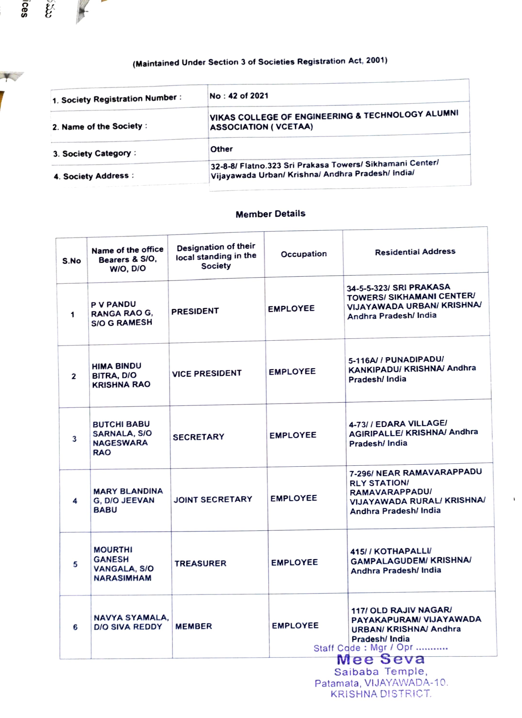## (Maintained Under Section 3 of Societies Registration Act, 2001)

ີຂອ

V

 $\widetilde{\mathcal{E}}$ 

 $\leftarrow$ 

**Contract Contract Contract Contract** 

| 1. Society Registration Number: | No: 42 of 2021                                                                                                |
|---------------------------------|---------------------------------------------------------------------------------------------------------------|
| 2. Name of the Society:         | VIKAS COLLEGE OF ENGINEERING & TECHNOLOGY ALUMNI<br><b>ASSOCIATION ( VCETAA)</b>                              |
| 3. Society Category:            | Other                                                                                                         |
| 4. Society Address:             | 32-8-8/ Flatno.323 Sri Prakasa Towers/ Sikhamani Center/<br>Vijayawada Urban/ Krishna/ Andhra Pradesh/ India/ |

## Member Details

| S.No | Name of the office<br>Bearers & S/O,<br>WIO, DIO                     | Designation of their<br>local standing in the<br><b>Society</b> | Occupation      | <b>Residential Address</b>                                                                                                  |
|------|----------------------------------------------------------------------|-----------------------------------------------------------------|-----------------|-----------------------------------------------------------------------------------------------------------------------------|
| 1    | <b>P V PANDU</b><br><b>RANGA RAO G,</b><br><b>S/O G RAMESH</b>       | <b>PRESIDENT</b>                                                | <b>EMPLOYEE</b> | 34-5-5-323/ SRI PRAKASA<br>TOWERS/ SIKHAMANI CENTER/<br>VIJAYAWADA URBAN/ KRISHNA/<br>Andhra Pradesh/ India                 |
| 2    | <b>HIMA BINDU</b><br>BITRA, D/O<br><b>KRISHNA RAO</b>                | <b>VICE PRESIDENT</b>                                           | <b>EMPLOYEE</b> | 5-116A/ / PUNADIPADU/<br>KANKIPADU/ KRISHNA/ Andhra<br>Pradesh/ India                                                       |
| 3    | <b>BUTCHI BABU</b><br>SARNALA, S/O<br><b>NAGESWARA</b><br><b>RAO</b> | <b>SECRETARY</b>                                                | <b>EMPLOYEE</b> | 4-73/ / EDARA VILLAGE/<br><b>AGIRIPALLE/ KRISHNA/ Andhra</b><br>Pradesh/ India                                              |
| 4    | <b>MARY BLANDINA</b><br>G, D/O JEEVAN<br><b>BABU</b>                 | JOINT SECRETARY                                                 | <b>EMPLOYEE</b> | 7-296/ NEAR RAMAVARAPPADU<br><b>RLY STATION/</b><br>RAMAVARAPPADU/<br>VIJAYAWADA RURAL/ KRISHNA/<br>Andhra Pradesh/ India   |
| 5    | <b>MOURTHI</b><br><b>GANESH</b><br>VANGALA, S/O<br><b>NARASIMHAM</b> | <b>TREASURER</b>                                                | <b>EMPLOYEE</b> | 415/ / KOTHAPALLI/<br><b>GAMPALAGUDEM/ KRISHNA/</b><br>Andhra Pradesh/ India                                                |
| 6    | NAVYA SYAMALA.<br>D/O SIVA REDDY                                     | <b>MEMBER</b>                                                   | <b>EMPLOYEE</b> | 117/ OLD RAJIV NAGAR/<br>PAYAKAPURAM/ VIJAYAWADA<br><b>URBAN/ KRISHNA/ Andhra</b><br>Pradesh/India<br>Staff Cdde: Mgr / Opr |
|      |                                                                      |                                                                 |                 | Mee Seva<br>Saibaba Temple,                                                                                                 |
|      |                                                                      |                                                                 |                 |                                                                                                                             |

Patamata, VIJAYAWADA-10<br>KRISHNA DISTRICT.

 $\mathbf{I}$